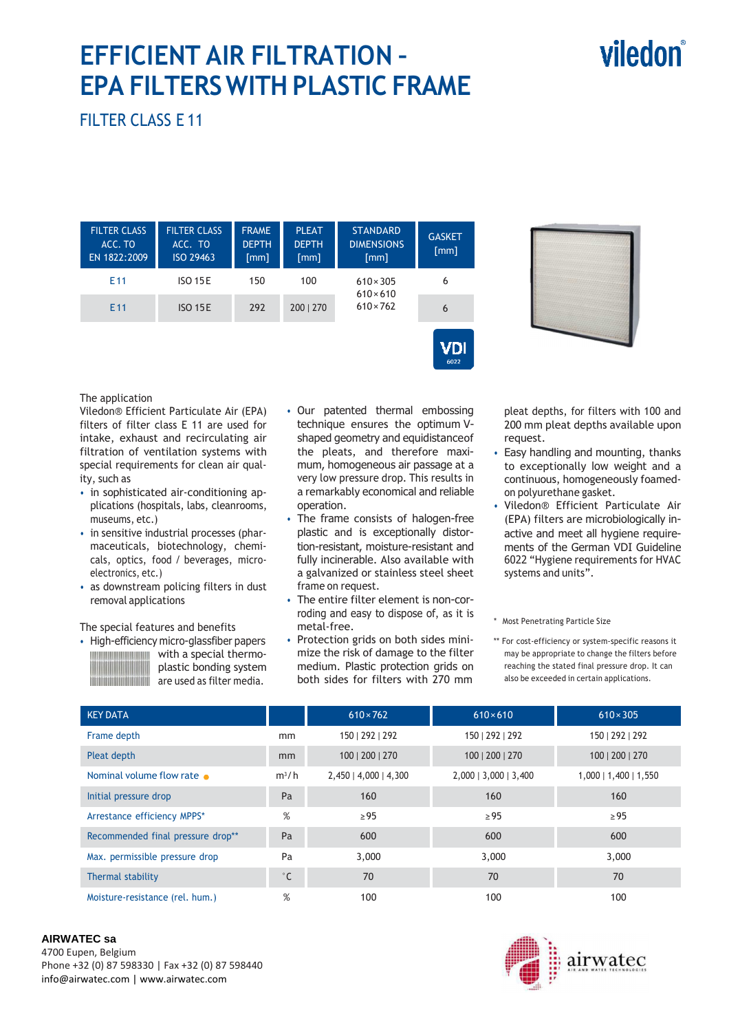### **EFFICIENT AIR FILTRATION – EPA FILTERS WITH PLASTIC FRAME**

## viledon®

FILTER CLASS E 11

| <b>FILTER CLASS</b><br>ACC. TO<br>EN 1822:2009 | <b>FILTER CLASS</b><br>ACC. TO<br>ISO 29463 | <b>FRAME</b><br><b>DEPTH</b><br>[mm] | <b>PLEAT</b><br><b>DEPTH</b><br>[mm] | <b>STANDARD</b><br><b>DIMENSIONS</b><br>[mm] | <b>GASKET</b><br>[mm] |
|------------------------------------------------|---------------------------------------------|--------------------------------------|--------------------------------------|----------------------------------------------|-----------------------|
| E <sub>11</sub>                                | <b>ISO 15E</b>                              | 150                                  | 100                                  | $610 \times 305$<br>$610 \times 610$         | 6                     |
| E <sub>11</sub>                                | <b>ISO 15E</b>                              | 292                                  | 200   270                            | $610 \times 762$                             | 6                     |
|                                                |                                             |                                      |                                      |                                              |                       |



The application

Viledon® Efficient Particulate Air (EPA) filters of filter class E 11 are used for intake, exhaust and recirculating air filtration of ventilation systems with special requirements for clean air quality, such as

- in sophisticated air-conditioning applications (hospitals, labs, cleanrooms, museums, etc.)
- in sensitive industrial processes (pharmaceuticals, biotechnology, chemicals, optics, food / beverages, microelectronics, etc.)
- as downstream policing filters in dust removal applications

#### The special features and benefits

• High-efficiency micro-glassfiber papers with a special thermo-plastic bonding system are used as filter media.

- Our patented thermal embossing technique ensures the optimum Vshaped geometry and equidistance of the pleats, and therefore maximum, homogeneous air passage at a very low pressure drop. This results in a remarkably economical and reliable operation.
- The frame consists of halogen-free plastic and is exceptionally distortion-resistant, moisture-resistant and fully incinerable. Also available with a galvanized or stainless steel sheet frame on request.
- The entire filter element is non-corroding and easy to dispose of, as it is metal-free.
- Protection grids on both sides minimize the risk of damage to the filter medium. Plastic protection grids on both sides for filters with 270 mm

pleat depths, for filters with 100 and 200 mm pleat depths available upon request.

- Easy handling and mounting, thanks to exceptionally low weight and a continuous, homogeneously foamedon polyurethane gasket.
- Viledon® Efficient Particulate Air (EPA) filters are microbiologically inactive and meet all hygiene requirements of the German VDI Guideline 6022 "Hygiene requirements for HVAC systems and units".

\* Most Penetrating Particle Size

\*\* For cost-efficiency or system-specific reasons it may be appropriate to change the filters before reaching the stated final pressure drop. It can also be exceeded in certain applications.

| <b>KEY DATA</b>                   |              | $610 \times 762$      | $610\times610$          | $610 \times 305$        |
|-----------------------------------|--------------|-----------------------|-------------------------|-------------------------|
| Frame depth                       | mm           | 150   292   292       | 150   292   292         | 150   292   292         |
| Pleat depth                       | mm           | 100   200   270       | 100   200   270         | 100   200   270         |
| Nominal volume flow rate          | $m^3/h$      | 2,450   4,000   4,300 | $2,000$   3,000   3,400 | $1,000$   1,400   1,550 |
| Initial pressure drop             | Pa           | 160                   | 160                     | 160                     |
| Arrestance efficiency MPPS*       | %            | $\geq$ 95             | $\geq$ 95               | $\geq$ 95               |
| Recommended final pressure drop** | Pa           | 600                   | 600                     | 600                     |
| Max. permissible pressure drop    | Pa           | 3,000                 | 3,000                   | 3,000                   |
| Thermal stability                 | $^{\circ}$ C | 70                    | 70                      | 70                      |
| Moisture-resistance (rel. hum.)   | %            | 100                   | 100                     | 100                     |

#### **AIRWATEC sa**

4700 Eupen, Belgium Phone +32 (0) 87 598330 | Fax +32 (0) 87 598440 info@airwatec.com | www.airwatec.com